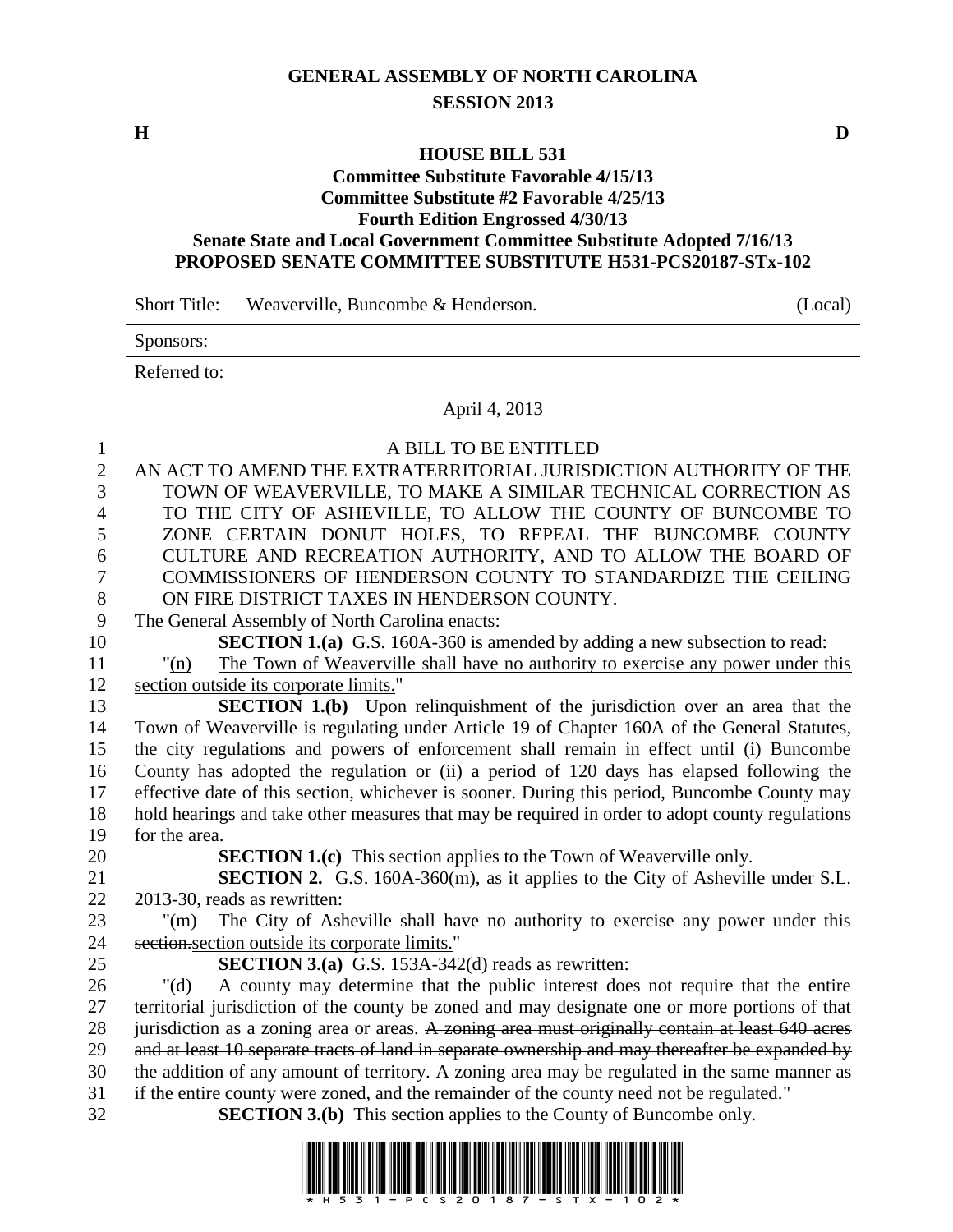## **GENERAL ASSEMBLY OF NORTH CAROLINA SESSION 2013**

**H D**

## **HOUSE BILL 531**

## **Committee Substitute Favorable 4/15/13 Committee Substitute #2 Favorable 4/25/13**

# **Fourth Edition Engrossed 4/30/13**

#### **Senate State and Local Government Committee Substitute Adopted 7/16/13 PROPOSED SENATE COMMITTEE SUBSTITUTE H531-PCS20187-STx-102**

Short Title: Weaverville, Buncombe & Henderson. (Local)

| Sponsors:    |  |  |  |
|--------------|--|--|--|
| Referred to: |  |  |  |

### April 4, 2013

| 1            | A BILL TO BE ENTITLED                                                                            |
|--------------|--------------------------------------------------------------------------------------------------|
| $\mathbf{2}$ | AN ACT TO AMEND THE EXTRATERRITORIAL JURISDICTION AUTHORITY OF THE                               |
| 3            | TOWN OF WEAVERVILLE, TO MAKE A SIMILAR TECHNICAL CORRECTION AS                                   |
| 4            | TO THE CITY OF ASHEVILLE, TO ALLOW THE COUNTY OF BUNCOMBE TO                                     |
| 5            | ZONE CERTAIN DONUT HOLES, TO REPEAL THE BUNCOMBE COUNTY                                          |
| 6            | CULTURE AND RECREATION AUTHORITY, AND TO ALLOW THE BOARD OF                                      |
| 7            | COMMISSIONERS OF HENDERSON COUNTY TO STANDARDIZE THE CEILING                                     |
| $8\,$        | ON FIRE DISTRICT TAXES IN HENDERSON COUNTY.                                                      |
| 9            | The General Assembly of North Carolina enacts:                                                   |
| 10           | <b>SECTION 1.(a)</b> G.S. 160A-360 is amended by adding a new subsection to read:                |
| 11           | The Town of Weaverville shall have no authority to exercise any power under this<br>"(n)         |
| 12           | section outside its corporate limits."                                                           |
| 13           | <b>SECTION 1.(b)</b> Upon relinquishment of the jurisdiction over an area that the               |
| 14           | Town of Weaverville is regulating under Article 19 of Chapter 160A of the General Statutes,      |
| 15           | the city regulations and powers of enforcement shall remain in effect until (i) Buncombe         |
| 16           | County has adopted the regulation or (ii) a period of 120 days has elapsed following the         |
| 17           | effective date of this section, whichever is sooner. During this period, Buncombe County may     |
| 18           | hold hearings and take other measures that may be required in order to adopt county regulations  |
| 19           | for the area.                                                                                    |
| 20           | <b>SECTION 1.(c)</b> This section applies to the Town of Weaverville only.                       |
| 21           | SECTION 2. G.S. 160A-360(m), as it applies to the City of Asheville under S.L.                   |
| 22           | 2013-30, reads as rewritten:                                                                     |
| 23           | The City of Asheville shall have no authority to exercise any power under this<br>$"(\text{m})$  |
| 24           | section section outside its corporate limits."                                                   |
| 25           | <b>SECTION 3.(a)</b> G.S. 153A-342(d) reads as rewritten:                                        |
| 26           | A county may determine that the public interest does not require that the entire<br>" $(d)$      |
| 27           | territorial jurisdiction of the county be zoned and may designate one or more portions of that   |
| 28           | jurisdiction as a zoning area or areas. A zoning area must originally contain at least 640 acres |
| 29           | and at least 10 separate tracts of land in separate ownership and may thereafter be expanded by  |
| 30           | the addition of any amount of territory. A zoning area may be regulated in the same manner as    |
| 31           | if the entire county were zoned, and the remainder of the county need not be regulated."         |
| 32           | <b>SECTION 3.(b)</b> This section applies to the County of Buncombe only.                        |